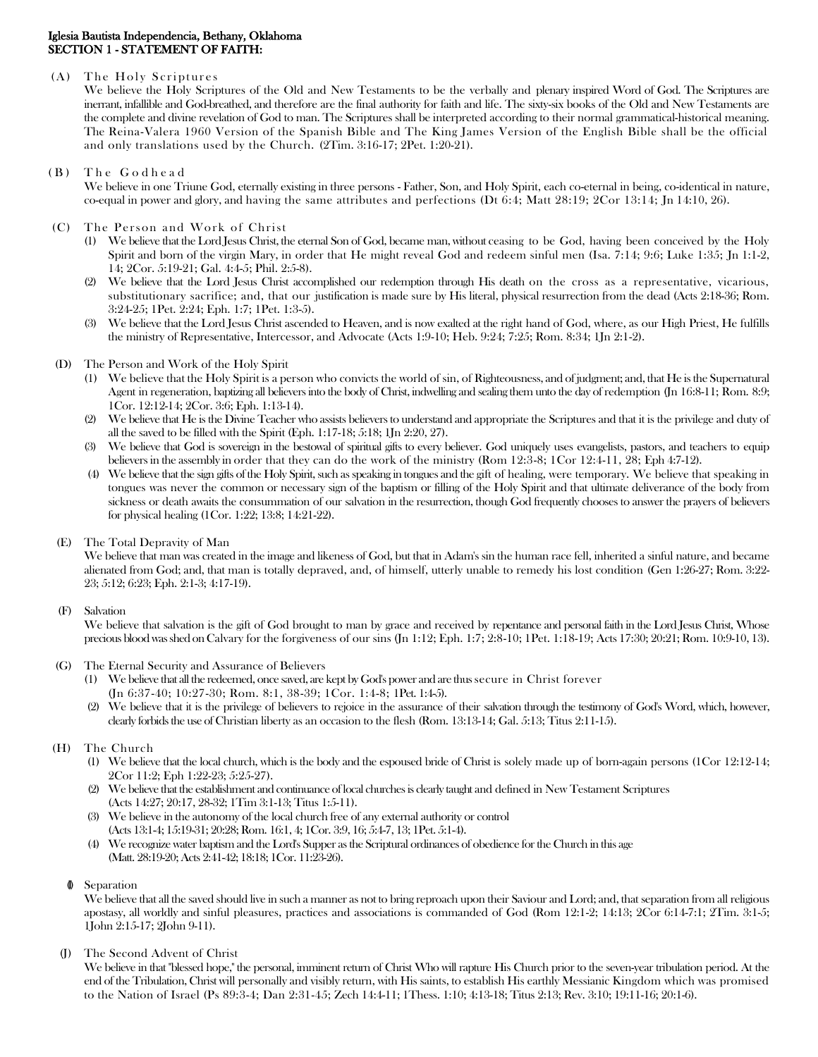## Iglesia Bautista Independencia, Bethany, Oklahoma SECTION 1 - STATEMENT OF FAITH:

### $(A)$  The Holy Scriptures

We believe the Holy Scriptures of the Old and New Testaments to be the verbally and plenary inspired Word of God. The Scriptures are inerrant, infallible and God-breathed, and therefore are the final authority for faith and life. The sixty-six books of the Old and New Testaments are the complete and divine revelation of God to man. The Scriptures shall be interpreted according to their normal grammatical-historical meaning. The Reina-Valera 1960 Version of the Spanish Bible and The King James Version of the English Bible shall be the official and only translations used by the Church. (2Tim. 3:16-17; 2Pet. 1:20-21).

## (B) The Godhead

We believe in one Triune God, eternally existing in three persons - Father, Son, and Holy Spirit, each co-eternal in being, co-identical in nature, co-equal in power and glory, and having the same attributes and perfections (Dt 6:4; Matt 28:19; 2Cor 13:14; Jn 14:10, 26).

# (C) The Person and Work of Christ

- (1) We believe that the Lord Jesus Christ, the eternal Son of God, became man, without ceasing to be God, having been conceived by the Holy Spirit and born of the virgin Mary, in order that He might reveal God and redeem sinful men (Isa. 7:14; 9:6; Luke 1:35; Jn 1:1-2, 14; 2Cor. 5:19-21; Gal. 4:4-5; Phil. 2:5-8).
- (2) We believe that the Lord Jesus Christ accomplished our redemption through His death on the cross as a representative, vicarious, substitutionary sacrifice; and, that our justification is made sure by His literal, physical resurrection from the dead (Acts 2:18-36; Rom. 3:24-25; 1Pet. 2:24; Eph. 1:7; 1Pet. 1:3-5).
- (3) We believe that the Lord Jesus Christ ascended to Heaven, and is now exalted at the right hand of God, where, as our High Priest, He fulfills the ministry of Representative, Intercessor, and Advocate (Acts 1:9-10; Heb. 9:24; 7:25; Rom. 8:34; 1Jn 2:1-2).
- (D) The Person and Work of the Holy Spirit
	- (1) We believe that the Holy Spirit is a person who convicts the world of sin, of Righteousness, and of judgment; and, that He is the Supernatural Agent in regeneration, baptizing all believers into the body of Christ, indwelling and sealing them unto the day of redemption (Jn 16:8-11; Rom. 8:9; 1Cor. 12:12-14; 2Cor. 3:6; Eph. 1:13-14).
	- (2) We believe that He is the Divine Teacher who assists believers to understand and appropriate the Scriptures and that it is the privilege and duty of all the saved to be filled with the Spirit (Eph. 1:17-18; 5:18; 1Jn 2:20, 27).
	- (3) We believe that God is sovereign in the bestowal of spiritual gifts to every believer. God uniquely uses evangelists, pastors, and teachers to equip believers in the assembly in order that they can do the work of the ministry (Rom 12:3-8; 1Cor 12:4-11, 28; Eph 4:7-12).
	- (4) We believe that the sign gifts of the Holy Spirit, such as speaking in tongues and the gift of healing, were temporary. We believe that speaking in tongues was never the common or necessary sign of the baptism or filling of the Holy Spirit and that ultimate deliverance of the body from sickness or death awaits the consummation of our salvation in the resurrection, though God frequently chooses to answer the prayers of believers for physical healing (1Cor. 1:22; 13:8; 14:21-22).
- (E) The Total Depravity of Man

We believe that man was created in the image and likeness of God, but that in Adam's sin the human race fell, inherited a sinful nature, and became alienated from God; and, that man is totally depraved, and, of himself, utterly unable to remedy his lost condition (Gen 1:26-27; Rom. 3:22- 23; 5:12; 6:23; Eph. 2:1-3; 4:17-19).

### (F) Salvation

We believe that salvation is the gift of God brought to man by grace and received by repentance and personal faith in the Lord Jesus Christ, Whose precious blood was shed on Calvary for the forgiveness of our sins (Jn 1:12; Eph. 1:7; 2:8-10; 1Pet. 1:18-19; Acts 17:30; 20:21; Rom. 10:9-10, 13).

# (G) The Eternal Security and Assurance of Believers

- (1) We believe that all the redeemed, once saved, are kept by God's power and are thus secure in Christ forever (Jn 6:37-40; 10:27-30; Rom. 8:1, 38-39; 1Cor. 1:4-8; 1Pet. 1:4-5).
- (2) We believe that it is the privilege of believers to rejoice in the assurance of their salvation through the testimony of God's Word, which, however, clearly forbids the use of Christian liberty as an occasion to the flesh (Rom. 13:13-14; Gal. 5:13; Titus 2:11-15).

### (H) The Church

- (1) We believe that the local church, which is the body and the espoused bride of Christ is solely made up of born-again persons (1Cor 12:12-14; 2Cor 11:2; Eph 1:22-23; 5:25-27).
- (2) We believe that the establishment and continuance of local churches is clearly taught and defined in New Testament Scriptures (Acts 14:27; 20:17, 28-32; 1Tim 3:1-13; Titus 1:5-11).
- (3) We believe in the autonomy of the local church free of any external authority or control (Acts 13:1-4; 15:19-31; 20:28; Rom. 16:1, 4; 1Cor. 3:9, 16; 5:4-7, 13; 1Pet. 5:1-4).
- (4) We recognize water baptism and the Lord's Supper as the Scriptural ordinances of obedience for the Church in this age (Matt. 28:19-20; Acts 2:41-42; 18:18; 1Cor. 11:23-26).

### (I) Separation

We believe that all the saved should live in such a manner as not to bring reproach upon their Saviour and Lord; and, that separation from all religious apostasy, all worldly and sinful pleasures, practices and associations is commanded of God (Rom 12:1-2; 14:13; 2Cor 6:14-7:1; 2Tim. 3:1-5; 1John 2:15-17; 2John 9-11).

The Second Advent of Christ

We believe in that "blessed hope," the personal, imminent return of Christ Who will rapture His Church prior to the seven-year tribulation period. At the end of the Tribulation, Christ will personally and visibly return, with His saints, to establish His earthly Messianic Kingdom which was promised to the Nation of Israel (Ps 89:3-4; Dan 2:31-45; Zech 14:4-11; 1Thess. 1:10; 4:13-18; Titus 2:13; Rev. 3:10; 19:11-16; 20:1-6).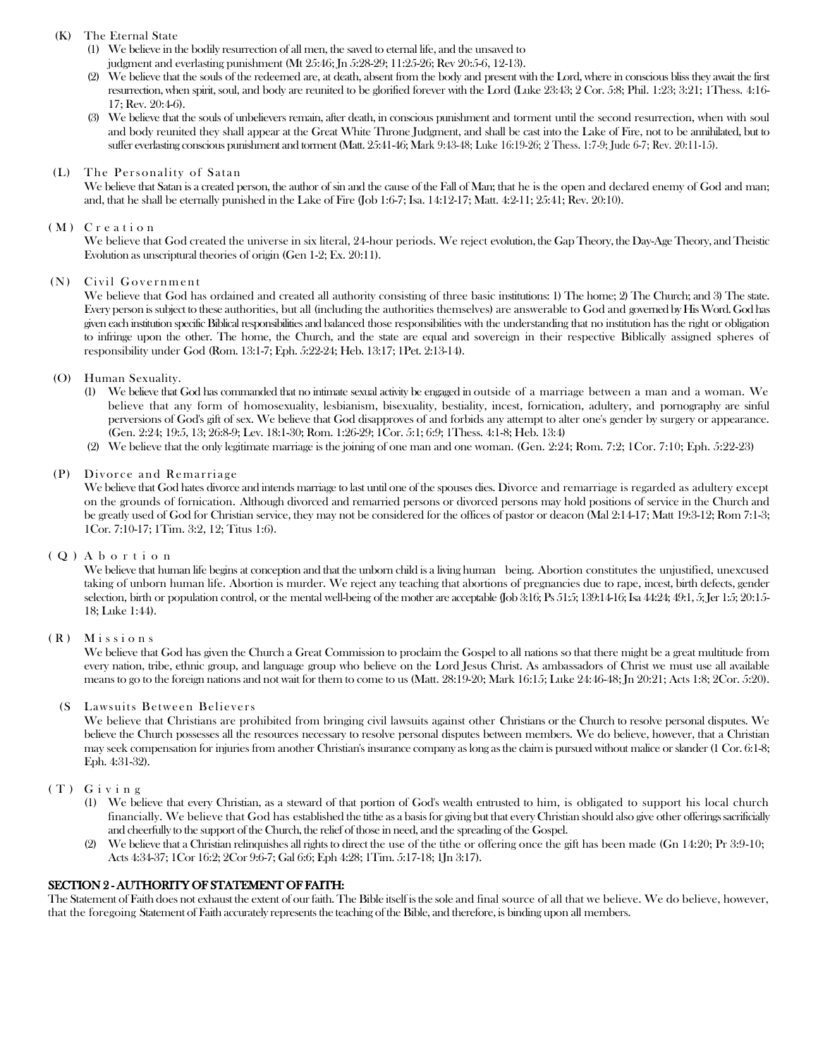# (K) The Eternal State

- (1) We believe in the bodily resurrection of all men, the saved to eternal life, and the unsaved to judgment and everlasting punishment (Mt 25:46; Jn 5:28-29; 11:25-26; Rev 20:5-6, 12-13).
- (2) We believe that the souls of the redeemed are, at death, absent from the body and present with the Lord, where in conscious bliss they await the first resurrection, when spirit, soul, and body are reunited to be glorified forever with the Lord (Luke 23:43; 2 Cor. 5:8; Phil. 1:23; 3:21; 1Thess. 4:16- 17; Rev. 20:4-6).
- (3) We believe that the souls of unbelievers remain, after death, in conscious punishment and torment until the second resurrection, when with soul and body reunited they shall appear at the Great White Throne Judgment, and shall be cast into the Lake of Fire, not to be annihilated, but to suffer everlasting conscious punishment and torment (Matt. 25:41-46; Mark 9:43-48; Luke 16:19-26; 2 Thess. 1:7-9; Jude 6-7; Rev. 20:11-15).

#### (L) The Personality of Satan

We believe that Satan is a created person, the author of sin and the cause of the Fall of Man; that he is the open and declared enemy of God and man; and, that he shall be eternally punished in the Lake of Fire (Job 1:6-7; Isa. 14:12-17; Matt. 4:2-11; 25:41; Rev. 20:10).

### (M) Creation

We believe that God created the universe in six literal, 24-hour periods. We reject evolution, the Gap Theory, the Day-Age Theory, and Theistic Evolution as unscriptural theories of origin (Gen 1-2; Ex. 20:11).

#### (N) Civil Government

We believe that God has ordained and created all authority consisting of three basic institutions: 1) The home; 2) The Church; and 3) The state. Every person is subject to these authorities, but all (including the authorities themselves) are answerable to God and governed by His Word. God has given each institution specific Biblical responsibilities and balanced those responsibilities with the understanding that no institution has the right or obligation to infringe upon the other. The home, the Church, and the state are equal and sovereign in their respective Biblically assigned spheres of responsibility under God (Rom. 13:1-7; Eph. 5:22-24; Heb. 13:17; 1Pet. 2:13-14).

#### (O) Human Sexuality.

- (1) We believe that God has commanded that no intimate sexual activity be engaged in outside of a marriage between a man and a woman. We believe that any form of homosexuality, lesbianism, bisexuality, bestiality, incest, fornication, adultery, and pornography are sinful perversions of God's gift of sex. We believe that God disapproves of and forbids any attempt to alter one's gender by surgery or appearance. (Gen. 2:24; 19:5, 13; 26:8-9; Lev. 18:1-30; Rom. 1:26-29; 1Cor. 5:1; 6:9; 1Thess. 4:1-8; Heb. 13:4)
- (2) We believe that the only legitimate marriage is the joining of one man and one woman. (Gen. 2:24; Rom. 7:2; 1Cor. 7:10; Eph. 5:22-23)

#### (P) Divorce and Remarriage

We believe that God hates divorce and intends marriage to last until one of the spouses dies. Divorce and remarriage is regarded as adultery except on the grounds of fornication. Although divorced and remarried persons or divorced persons may hold positions of service in the Church and be greatly used of God for Christian service, they may not be considered for the offices of pastor or deacon (Mal 2:14-17; Matt 19:3-12; Rom 7:1-3; 1Cor. 7:10-17; 1Tim. 3:2, 12; Titus 1:6).

### ( Q ) A b o r t i o n

We believe that human life begins at conception and that the unborn child is a living human being. Abortion constitutes the unjustified, unexcused taking of unborn human life. Abortion is murder. We reject any teaching that abortions of pregnancies due to rape, incest, birth defects, gender selection, birth or population control, or the mental well-being of the mother are acceptable (Job 3:16; Ps 51:5; 139:14-16; Isa 44:24; 49:1, 5; Jer 1:5; 20:15- 18; Luke 1:44).

### ( R ) M i s s i o n s

We believe that God has given the Church a Great Commission to proclaim the Gospel to all nations so that there might be a great multitude from every nation, tribe, ethnic group, and language group who believe on the Lord Jesus Christ. As ambassadors of Christ we must use all available means to go to the foreign nations and not wait for them to come to us (Matt. 28:19-20; Mark 16:15; Luke 24:46-48; Jn 20:21; Acts 1:8; 2Cor. 5:20).

### (S Lawsuits Between Believers

We believe that Christians are prohibited from bringing civil lawsuits against other Christians or the Church to resolve personal disputes. We believe the Church possesses all the resources necessary to resolve personal disputes between members. We do believe, however, that a Christian may seek compensation for injuries from another Christian's insurance company as long as the claim is pursued without malice or slander (1 Cor. 6:1-8; Eph. 4:31-32).

### ( T ) G i v i n g

- (1) We believe that every Christian, as a steward of that portion of God's wealth entrusted to him, is obligated to support his local church financially. We believe that God has established the tithe as a basis for giving but that every Christian should also give other offerings sacrificially and cheerfully to the support of the Church, the relief of those in need, and the spreading of the Gospel.
- (2) We believe that a Christian relinquishes all rights to direct the use of the tithe or offering once the gift has been made (Gn 14:20; Pr 3:9-10; Acts 4:34-37; 1Cor 16:2; 2Cor 9:6-7; Gal 6:6; Eph 4:28; 1Tim. 5:17-18; 1Jn 3:17).

### SECTION 2 - AUTHORITY OF STATEMENT OF FAITH:

The Statement of Faith does not exhaust the extent of our faith. The Bible itself is the sole and final source of all that we believe. We do believe, however, that the foregoing Statement of Faith accurately represents the teaching of the Bible, and therefore, is binding upon all members.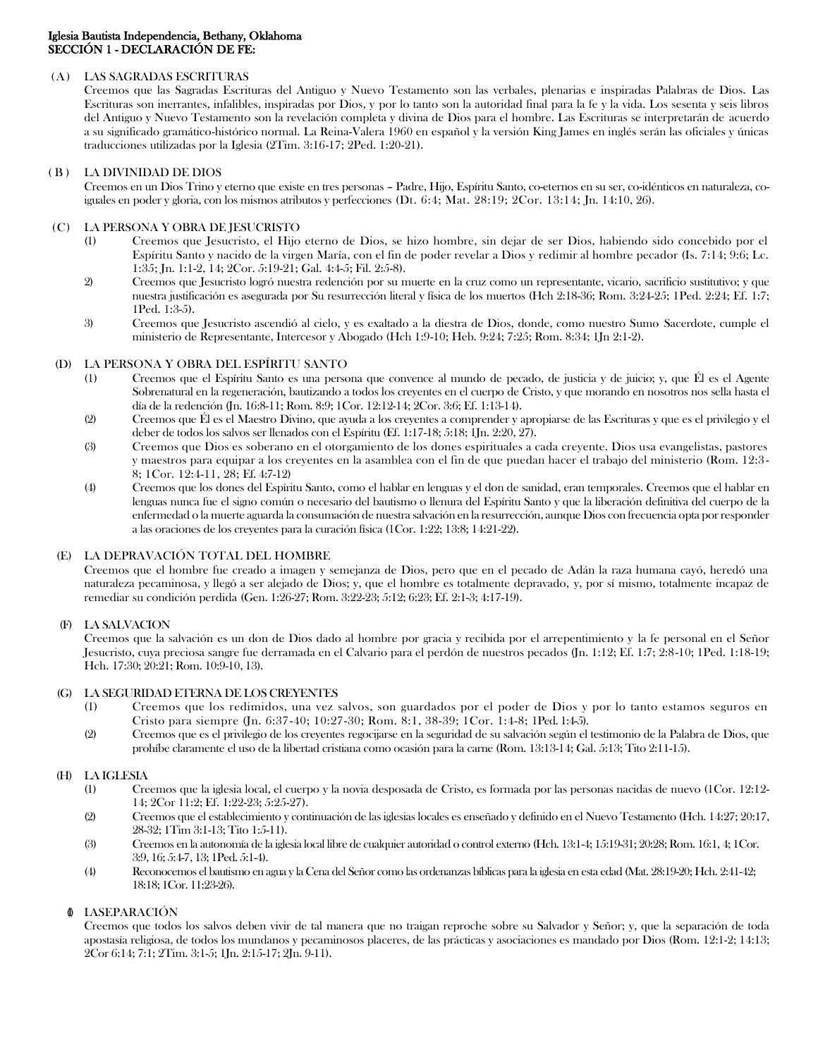## (A) LAS SAGRADAS ESCRITURAS

Creemos que las Sagradas Escrituras del Antiguo y Nuevo Testamento son las verbales, plenarias e inspiradas Palabras de Dios. Las Escrituras son inerrantes, infalibles, inspiradas por Dios, y por lo tanto son la autoridad final para la fe y la vida. Los sesenta y seis libros del Antiguo y Nuevo Testamento son la revelación completa y divina de Dios para el hombre. Las Escrituras se interpretarán de acuerdo a su significado gramático-histórico normal. La Reina-Valera 1960 en español y la versión King James en inglés serán las oficiales y únicas traducciones utilizadas por la Iglesia (2Tim. 3:16-17; 2Ped. 1:20-21).

## ( B ) LA DIVINIDAD DE DIOS

Creemos en un Dios Trino y eterno que existe en tres personas – Padre, Hijo, Espíritu Santo, co-eternos en su ser, co-idénticos en naturaleza, coiguales en poder y gloria, con los mismos atributos y perfecciones (Dt. 6:4; Mat. 28:19; 2Cor. 13:14; Jn. 14:10, 26).

# (C) LA PERSONA Y OBRA DE JESUCRISTO

- (1) Creemos que Jesucristo, el Hijo eterno de Dios, se hizo hombre, sin dejar de ser Dios, habiendo sido concebido por el Espíritu Santo y nacido de la virgen María, con el fin de poder revelar a Dios y redimir al hombre pecador (Is. 7:14; 9:6; Lc. 1:35; Jn. 1:1-2, 14; 2Cor. 5:19-21; Gal. 4:4-5; Fil. 2:5-8).
- 2) Creemos que Jesucristo logró nuestra redención por su muerte en la cruz como un representante, vicario, sacrificio sustitutivo; y que nuestra justificación es asegurada por Su resurrección literal y física de los muertos (Hch 2:18-36; Rom. 3:24-25; 1Ped. 2:24; Ef. 1:7; 1Ped. 1:3-5).
- 3) Creemos que Jesucristo ascendió al cielo, y es exaltado a la diestra de Dios, donde, como nuestro Sumo Sacerdote, cumple el ministerio de Representante, Intercesor y Abogado (Hch 1:9-10; Heb. 9:24; 7:25; Rom. 8:34; 1Jn 2:1-2).

## (D) LA PERSONA Y OBRA DEL ESPÍRITU SANTO

- (1) Creemos que el Espíritu Santo es una persona que convence al mundo de pecado, de justicia y de juicio; y, que Él es el Agente Sobrenatural en la regeneración, bautizando a todos los creyentes en el cuerpo de Cristo, y que morando en nosotros nos sella hasta el día de la redención (Jn. 16:8-11; Rom. 8:9; 1Cor. 12:12-14; 2Cor. 3:6; Ef. 1:13-14).
- (2) Creemos que Él es el Maestro Divino, que ayuda a los creyentes a comprender y apropiarse de las Escrituras y que es el privilegio y el deber de todos los salvos ser llenados con el Espíritu (Ef. 1:17-18; 5:18; 1Jn. 2:20, 27).
- (3) Creemos que Dios es soberano en el otorgamiento de los dones espirituales a cada creyente. Dios usa evangelistas, pastores y maestros para equipar a los creyentes en la asamblea con el fin de que puedan hacer el trabajo del ministerio (Rom. 12:3 - 8; 1Cor. 12:4-11, 28; Ef. 4:7-12)
- (4) Creemos que los dones del Espíritu Santo, como el hablar en lenguas y el don de sanidad, eran temporales. Creemos que el hablar en lenguas nunca fue el signo común o necesario del bautismo o llenura del Espíritu Santo y que la liberación definitiva del cuerpo de la enfermedad o la muerte aguarda la consumación de nuestra salvación en la resurrección, aunque Dios con frecuencia opta por responder a las oraciones de los creyentes para la curación física (1Cor. 1:22; 13:8; 14:21-22).

# (E) LA DEPRAVACIÓN TOTAL DEL HOMBRE

Creemos que el hombre fue creado a imagen y semejanza de Dios, pero que en el pecado de Adán la raza humana cayó, heredó una naturaleza pecaminosa, y llegó a ser alejado de Dios; y, que el hombre es totalmente depravado, y, por sí mismo, totalmente incapaz de remediar su condición perdida (Gen. 1:26-27; Rom. 3:22-23; 5:12; 6:23; Ef. 2:1-3; 4:17-19).

# (F) LA SALVACION

Creemos que la salvación es un don de Dios dado al hombre por gracia y recibida por el arrepentimiento y la fe personal en el Señor Jesucristo, cuya preciosa sangre fue derramada en el Calvario para el perdón de nuestros pecados (Jn. 1:12; Ef. 1:7; 2:8-10; 1Ped. 1:18-19; Hch. 17:30; 20:21; Rom. 10:9-10, 13).

### (G) LA SEGURIDAD ETERNA DE LOS CREYENTES

- (1) Creemos que los redimidos, una vez salvos, son guardados por el poder de Dios y por lo tanto estamos seguros en Cristo para siempre (Jn. 6:37-40; 10:27-30; Rom. 8:1, 38-39; 1Cor. 1:4-8; 1Ped. 1:4-5).
- (2) Creemos que es el privilegio de los creyentes regocijarse en la seguridad de su salvación según el testimonio de la Palabra de Dios, que prohíbe claramente el uso de la libertad cristiana como ocasión para la carne (Rom. 13:13-14; Gal. 5:13; Tito 2:11-15).

### (H) LA IGLESIA

- (1) Creemos que la iglesia local, el cuerpo y la novia desposada de Cristo, es formada por las personas nacidas de nuevo (1Cor. 12:12- 14; 2Cor 11:2; Ef. 1:22-23; 5:25-27).
- (2) Creemos que el establecimiento y continuación de las iglesias locales es enseñado y definido en el Nuevo Testamento (Hch. 14:27; 20:17, 28-32; 1Tim 3:1-13; Tito 1:5-11).
- (3) Creemos en la autonomía de la iglesia local libre de cualquier autoridad o control externo (Hch. 13:1-4; 15:19-31; 20:28; Rom. 16:1, 4; 1Cor. 3:9, 16; 5:4-7, 13; 1Ped. 5:1-4).
- (4) Reconocemos el bautismo en agua y la Cena del Señor como las ordenanzas bíblicas para la iglesia en esta edad (Mat. 28:19-20; Hch. 2:41-42; 18:18; 1Cor. 11:23-26).

# **LASEPARACIÓN**

Creemos que todos los salvos deben vivir de tal manera que no traigan reproche sobre su Salvador y Señor; y, que la separación de toda apostasía religiosa, de todos los mundanos y pecaminosos placeres, de las prácticas y asociaciones es mandado por Dios (Rom. 12:1-2; 14:13; 2Cor 6:14; 7:1; 2Tim. 3:1-5; 1Jn. 2:15-17; 2Jn. 9-11).